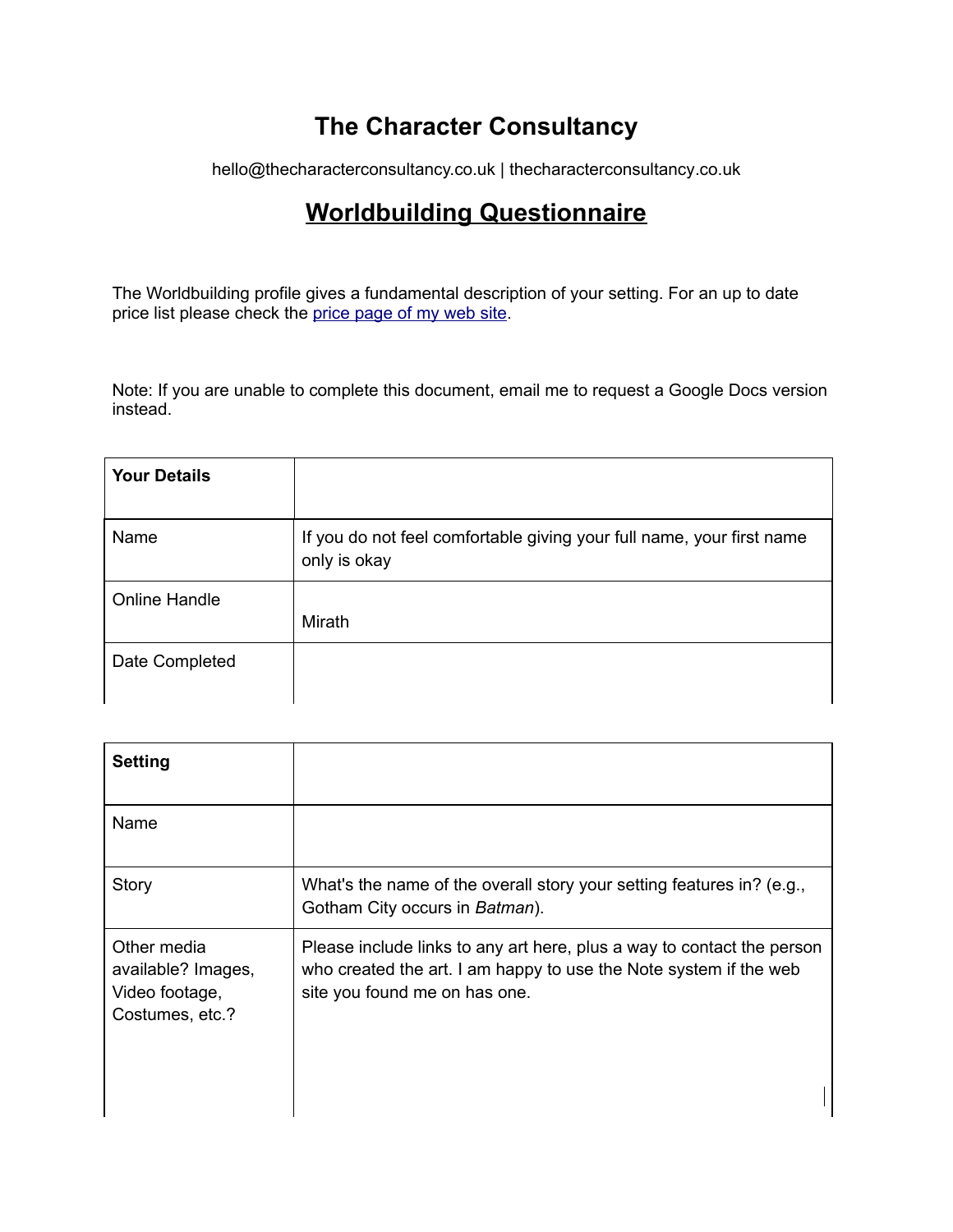# **The Character Consultancy**

hello@thecharacterconsultancy.co.uk | thecharacterconsultancy.co.uk

# **Worldbuilding Questionnaire**

The Worldbuilding profile gives a fundamental description of your setting. For an up to date price list please check the price page of my web site.

Note: If you are unable to complete this document, email me to request a Google Docs version instead.

| <b>Your Details</b> |                                                                                       |
|---------------------|---------------------------------------------------------------------------------------|
| Name                | If you do not feel comfortable giving your full name, your first name<br>only is okay |
| Online Handle       | Mirath                                                                                |
| Date Completed      |                                                                                       |

| <b>Setting</b>                                                         |                                                                                                                                                                              |
|------------------------------------------------------------------------|------------------------------------------------------------------------------------------------------------------------------------------------------------------------------|
| Name                                                                   |                                                                                                                                                                              |
| Story                                                                  | What's the name of the overall story your setting features in? (e.g.,<br>Gotham City occurs in Batman).                                                                      |
| Other media<br>available? Images,<br>Video footage,<br>Costumes, etc.? | Please include links to any art here, plus a way to contact the person<br>who created the art. I am happy to use the Note system if the web<br>site you found me on has one. |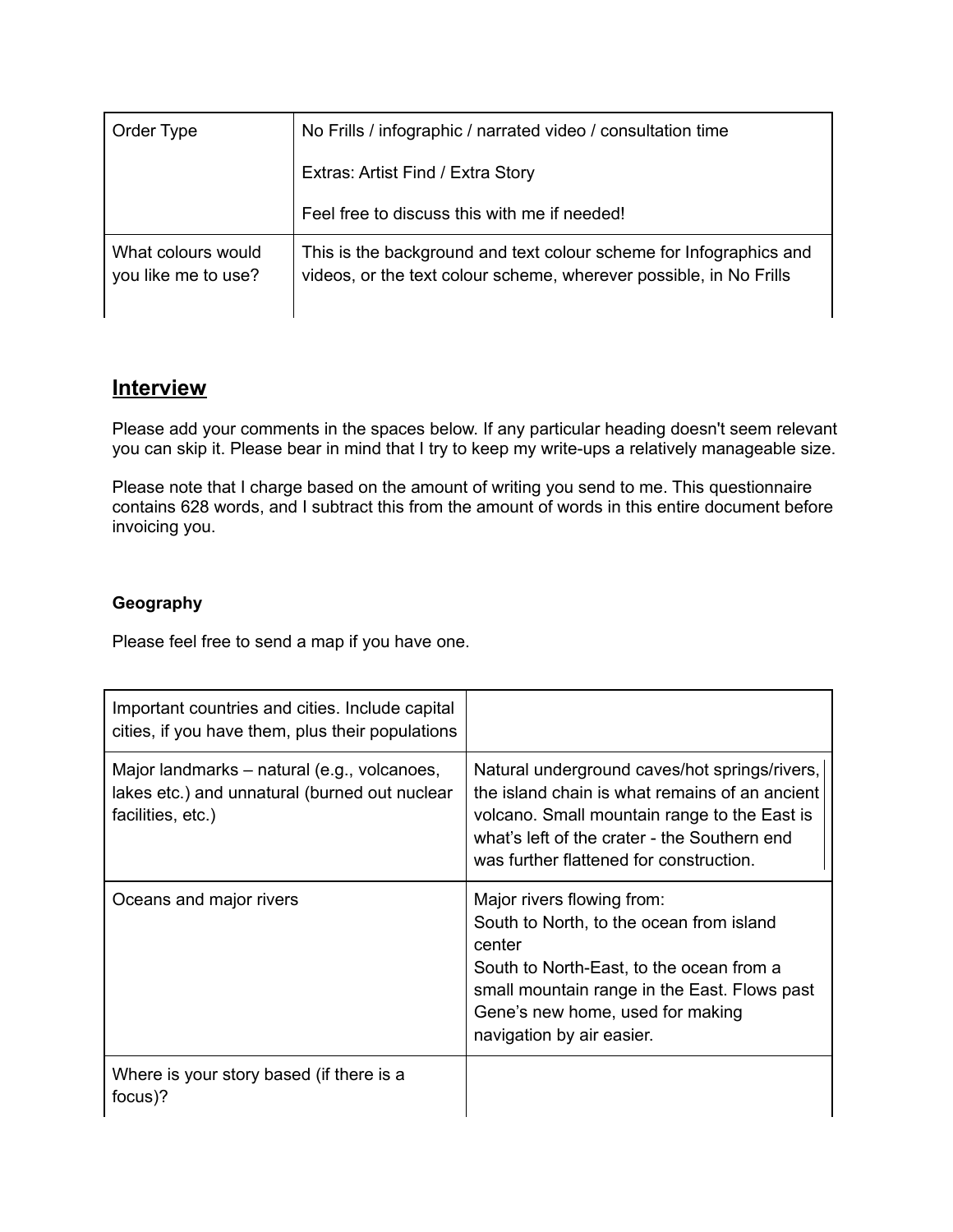| Order Type                                | No Frills / infographic / narrated video / consultation time                                                                             |
|-------------------------------------------|------------------------------------------------------------------------------------------------------------------------------------------|
|                                           | Extras: Artist Find / Extra Story                                                                                                        |
|                                           | Feel free to discuss this with me if needed!                                                                                             |
| What colours would<br>you like me to use? | This is the background and text colour scheme for Infographics and<br>videos, or the text colour scheme, wherever possible, in No Frills |

# **Interview**

Please add your comments in the spaces below. If any particular heading doesn't seem relevant you can skip it. Please bear in mind that I try to keep my write-ups a relatively manageable size.

Please note that I charge based on the amount of writing you send to me. This questionnaire contains 628 words, and I subtract this from the amount of words in this entire document before invoicing you.

#### **Geography**

Please feel free to send a map if you have one.

| Important countries and cities. Include capital<br>cities, if you have them, plus their populations               |                                                                                                                                                                                                                                               |
|-------------------------------------------------------------------------------------------------------------------|-----------------------------------------------------------------------------------------------------------------------------------------------------------------------------------------------------------------------------------------------|
| Major landmarks – natural (e.g., volcanoes,<br>lakes etc.) and unnatural (burned out nuclear<br>facilities, etc.) | Natural underground caves/hot springs/rivers,<br>the island chain is what remains of an ancient<br>volcano. Small mountain range to the East is<br>what's left of the crater - the Southern end<br>was further flattened for construction.    |
| Oceans and major rivers                                                                                           | Major rivers flowing from:<br>South to North, to the ocean from island<br>center<br>South to North-East, to the ocean from a<br>small mountain range in the East. Flows past<br>Gene's new home, used for making<br>navigation by air easier. |
| Where is your story based (if there is a<br>focus)?                                                               |                                                                                                                                                                                                                                               |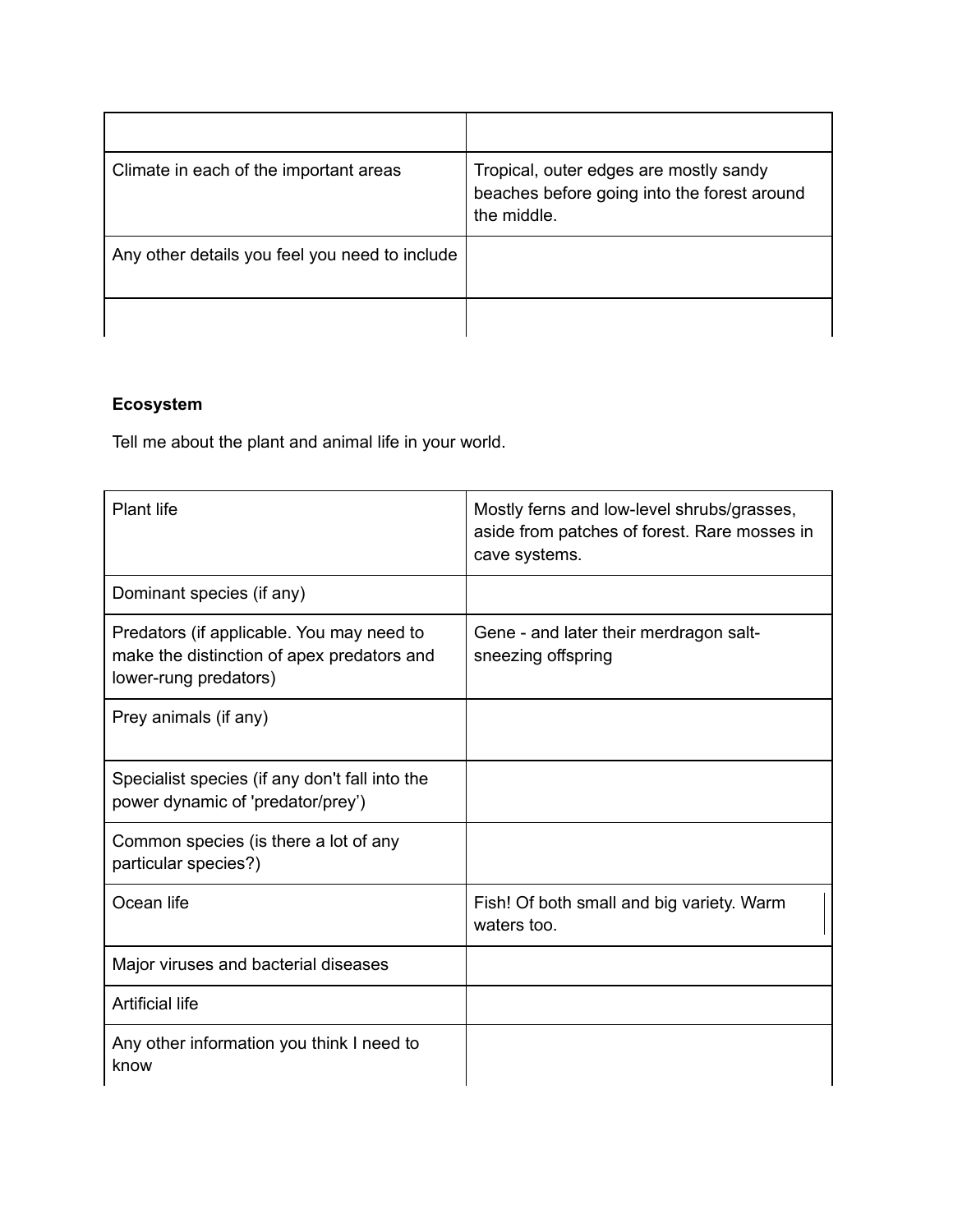| Climate in each of the important areas         | Tropical, outer edges are mostly sandy<br>beaches before going into the forest around<br>the middle. |
|------------------------------------------------|------------------------------------------------------------------------------------------------------|
| Any other details you feel you need to include |                                                                                                      |
|                                                |                                                                                                      |

## **Ecosystem**

Tell me about the plant and animal life in your world.

| <b>Plant life</b>                                                                                                | Mostly ferns and low-level shrubs/grasses,<br>aside from patches of forest. Rare mosses in<br>cave systems. |
|------------------------------------------------------------------------------------------------------------------|-------------------------------------------------------------------------------------------------------------|
| Dominant species (if any)                                                                                        |                                                                                                             |
| Predators (if applicable. You may need to<br>make the distinction of apex predators and<br>lower-rung predators) | Gene - and later their merdragon salt-<br>sneezing offspring                                                |
| Prey animals (if any)                                                                                            |                                                                                                             |
| Specialist species (if any don't fall into the<br>power dynamic of 'predator/prey')                              |                                                                                                             |
| Common species (is there a lot of any<br>particular species?)                                                    |                                                                                                             |
| Ocean life                                                                                                       | Fish! Of both small and big variety. Warm<br>waters too.                                                    |
| Major viruses and bacterial diseases                                                                             |                                                                                                             |
| <b>Artificial life</b>                                                                                           |                                                                                                             |
| Any other information you think I need to<br>know                                                                |                                                                                                             |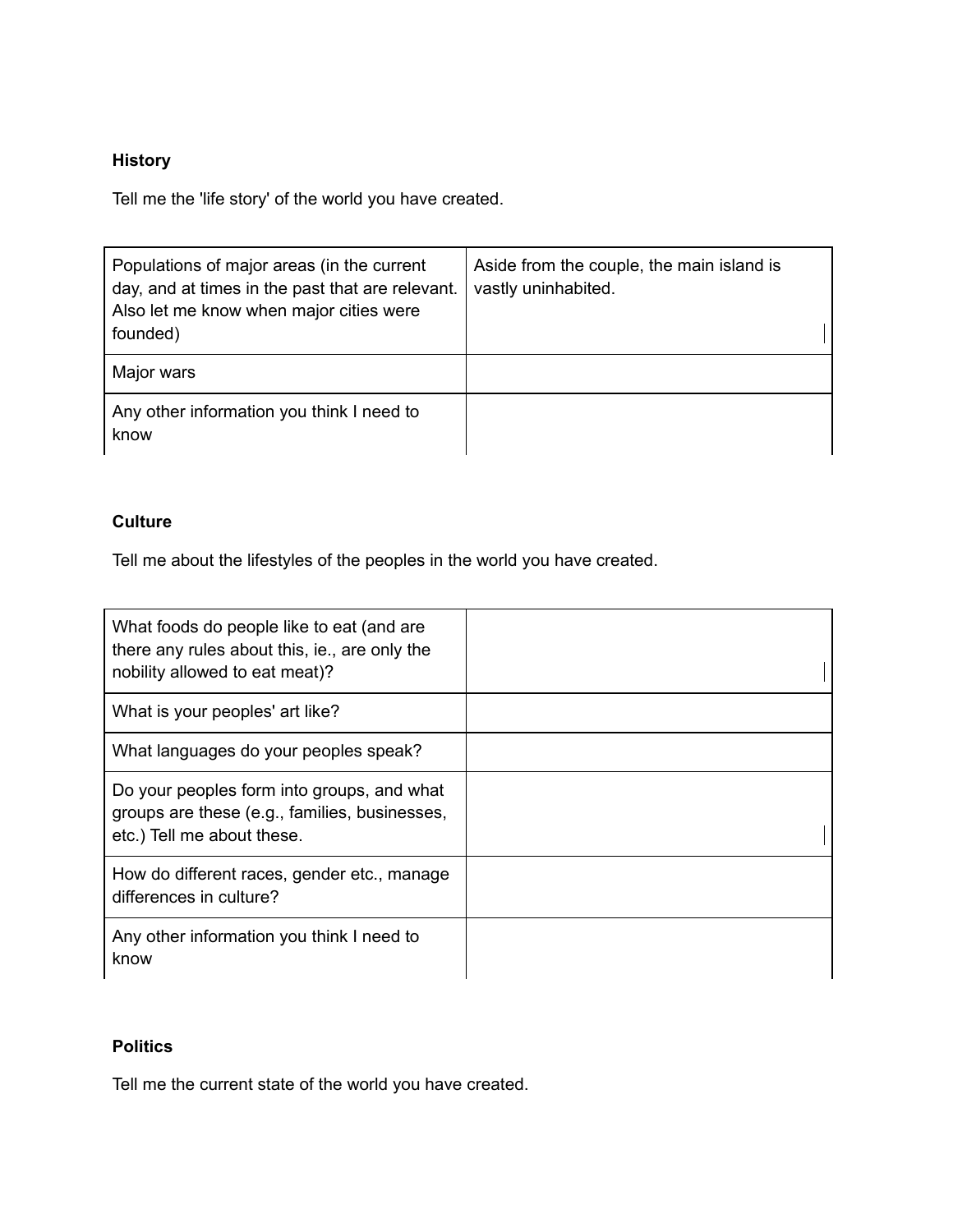### **History**

Tell me the 'life story' of the world you have created.

| Populations of major areas (in the current<br>day, and at times in the past that are relevant.<br>Also let me know when major cities were<br>founded) | Aside from the couple, the main island is<br>vastly uninhabited. |
|-------------------------------------------------------------------------------------------------------------------------------------------------------|------------------------------------------------------------------|
| Major wars                                                                                                                                            |                                                                  |
| Any other information you think I need to<br>know                                                                                                     |                                                                  |

#### **Culture**

Tell me about the lifestyles of the peoples in the world you have created.

| What foods do people like to eat (and are<br>there any rules about this, ie., are only the<br>nobility allowed to eat meat)? |  |
|------------------------------------------------------------------------------------------------------------------------------|--|
| What is your peoples' art like?                                                                                              |  |
| What languages do your peoples speak?                                                                                        |  |
| Do your peoples form into groups, and what<br>groups are these (e.g., families, businesses,<br>etc.) Tell me about these.    |  |
| How do different races, gender etc., manage<br>differences in culture?                                                       |  |
| Any other information you think I need to<br>know                                                                            |  |

### **Politics**

Tell me the current state of the world you have created.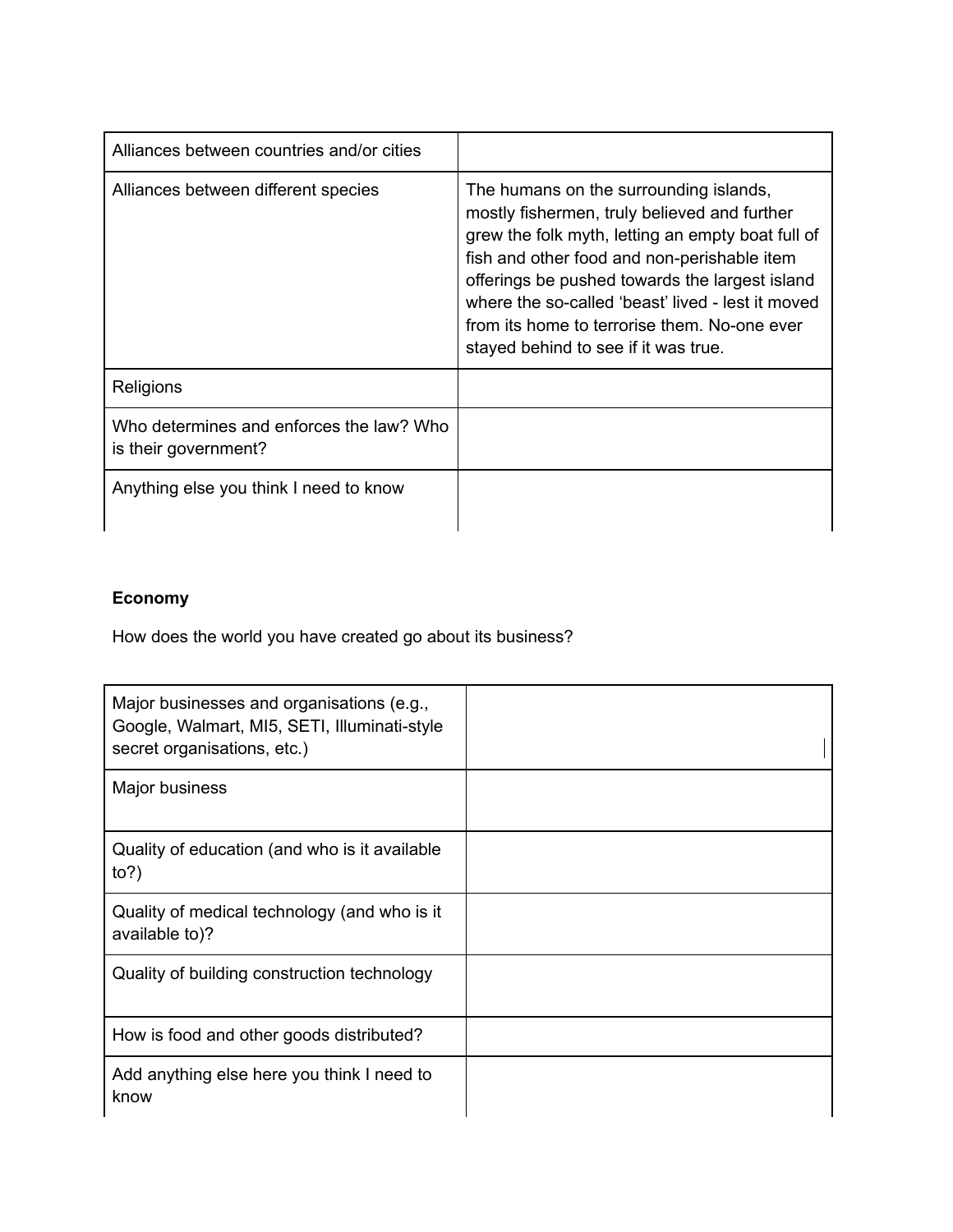| Alliances between countries and/or cities                        |                                                                                                                                                                                                                                                                                                                                                                                           |
|------------------------------------------------------------------|-------------------------------------------------------------------------------------------------------------------------------------------------------------------------------------------------------------------------------------------------------------------------------------------------------------------------------------------------------------------------------------------|
| Alliances between different species                              | The humans on the surrounding islands,<br>mostly fishermen, truly believed and further<br>grew the folk myth, letting an empty boat full of<br>fish and other food and non-perishable item<br>offerings be pushed towards the largest island<br>where the so-called 'beast' lived - lest it moved<br>from its home to terrorise them. No-one ever<br>stayed behind to see if it was true. |
| Religions                                                        |                                                                                                                                                                                                                                                                                                                                                                                           |
| Who determines and enforces the law? Who<br>is their government? |                                                                                                                                                                                                                                                                                                                                                                                           |
| Anything else you think I need to know                           |                                                                                                                                                                                                                                                                                                                                                                                           |

## **Economy**

How does the world you have created go about its business?

| Major businesses and organisations (e.g.,<br>Google, Walmart, MI5, SETI, Illuminati-style<br>secret organisations, etc.) |  |
|--------------------------------------------------------------------------------------------------------------------------|--|
| Major business                                                                                                           |  |
| Quality of education (and who is it available<br>to?                                                                     |  |
| Quality of medical technology (and who is it<br>available to)?                                                           |  |
| Quality of building construction technology                                                                              |  |
| How is food and other goods distributed?                                                                                 |  |
| Add anything else here you think I need to<br>know                                                                       |  |